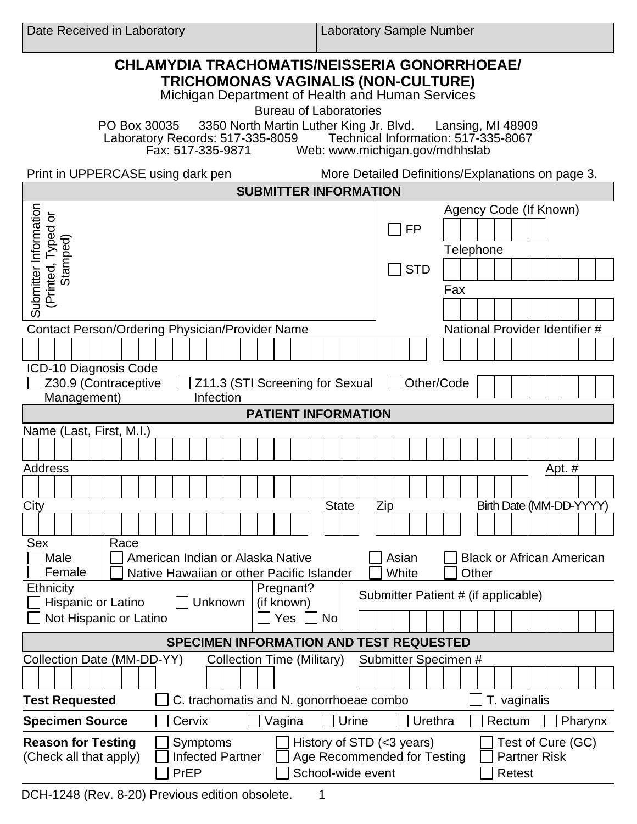Laboratory Sample Number

| <b>CHLAMYDIA TRACHOMATIS/NEISSERIA GONORRHOEAE/</b><br>TRICHOMONAS VAGINALIS (NON-CULTURE)<br>Michigan Department of Health and Human Services<br><b>Bureau of Laboratories</b>                       |                                 |                                                    |  |  |  |  |
|-------------------------------------------------------------------------------------------------------------------------------------------------------------------------------------------------------|---------------------------------|----------------------------------------------------|--|--|--|--|
| PO Box 30035 3350 North Martin Luther King Jr. Blvd. Lansing, MI 48909<br>Laboratory Records: 517-335-8059 Technical Information: 517-335-8067<br>Fax: 517-335-9871<br>Web: www.michigan.gov/mdhhslab |                                 |                                                    |  |  |  |  |
| Print in UPPERCASE using dark pen<br>More Detailed Definitions/Explanations on page 3.                                                                                                                |                                 |                                                    |  |  |  |  |
| <b>SUBMITTER INFORMATION</b>                                                                                                                                                                          |                                 |                                                    |  |  |  |  |
| Submitter Information<br>(Printed, Typed or<br>Stamped)                                                                                                                                               | <b>FP</b>                       | Agency Code (If Known)<br><b>Telephone</b>         |  |  |  |  |
|                                                                                                                                                                                                       | <b>STD</b><br>$\vert \ \ \vert$ | Fax                                                |  |  |  |  |
|                                                                                                                                                                                                       |                                 |                                                    |  |  |  |  |
| Contact Person/Ordering Physician/Provider Name                                                                                                                                                       |                                 | National Provider Identifier #                     |  |  |  |  |
|                                                                                                                                                                                                       |                                 |                                                    |  |  |  |  |
| ICD-10 Diagnosis Code                                                                                                                                                                                 |                                 |                                                    |  |  |  |  |
| Z30.9 (Contraceptive<br>Z11.3 (STI Screening for Sexual                                                                                                                                               | Other/Code                      |                                                    |  |  |  |  |
| Management)<br>Infection<br><b>PATIENT INFORMATION</b>                                                                                                                                                |                                 |                                                    |  |  |  |  |
| Name (Last, First, M.I.)                                                                                                                                                                              |                                 |                                                    |  |  |  |  |
|                                                                                                                                                                                                       |                                 |                                                    |  |  |  |  |
| <b>Address</b>                                                                                                                                                                                        |                                 | Apt. #                                             |  |  |  |  |
|                                                                                                                                                                                                       |                                 |                                                    |  |  |  |  |
| <b>State</b><br>City                                                                                                                                                                                  | Zip                             | Birth Date (MM-DD-YYYY)                            |  |  |  |  |
|                                                                                                                                                                                                       |                                 |                                                    |  |  |  |  |
| Sex<br>Race<br>Male<br>American Indian or Alaska Native<br>Asian<br><b>Black or African American</b>                                                                                                  |                                 |                                                    |  |  |  |  |
| Female<br>Native Hawaiian or other Pacific Islander<br>Ethnicity<br>Pregnant?                                                                                                                         | White                           | Other                                              |  |  |  |  |
| Hispanic or Latino<br>Unknown<br>(if known)                                                                                                                                                           |                                 | Submitter Patient # (if applicable)                |  |  |  |  |
| Not Hispanic or Latino<br>Yes<br>  No                                                                                                                                                                 |                                 |                                                    |  |  |  |  |
| <b>SPECIMEN INFORMATION AND TEST REQUESTED</b>                                                                                                                                                        |                                 |                                                    |  |  |  |  |
| Collection Date (MM-DD-YY)<br><b>Collection Time (Military)</b>                                                                                                                                       | Submitter Specimen #            |                                                    |  |  |  |  |
|                                                                                                                                                                                                       |                                 |                                                    |  |  |  |  |
| <b>Test Requested</b><br>C. trachomatis and N. gonorrhoeae combo<br>T. vaginalis                                                                                                                      |                                 |                                                    |  |  |  |  |
| Urine<br>Urethra<br><b>Specimen Source</b><br>Cervix<br>Vagina<br>Rectum<br>Pharynx                                                                                                                   |                                 |                                                    |  |  |  |  |
| History of STD (<3 years)<br><b>Reason for Testing</b><br>Symptoms<br><b>Infected Partner</b><br>(Check all that apply)<br>Age Recommended for Testing<br>School-wide event<br>PrEP                   |                                 | Test of Cure (GC)<br><b>Partner Risk</b><br>Retest |  |  |  |  |

DCH-1248 (Rev. 8-20) Previous edition obsolete. 1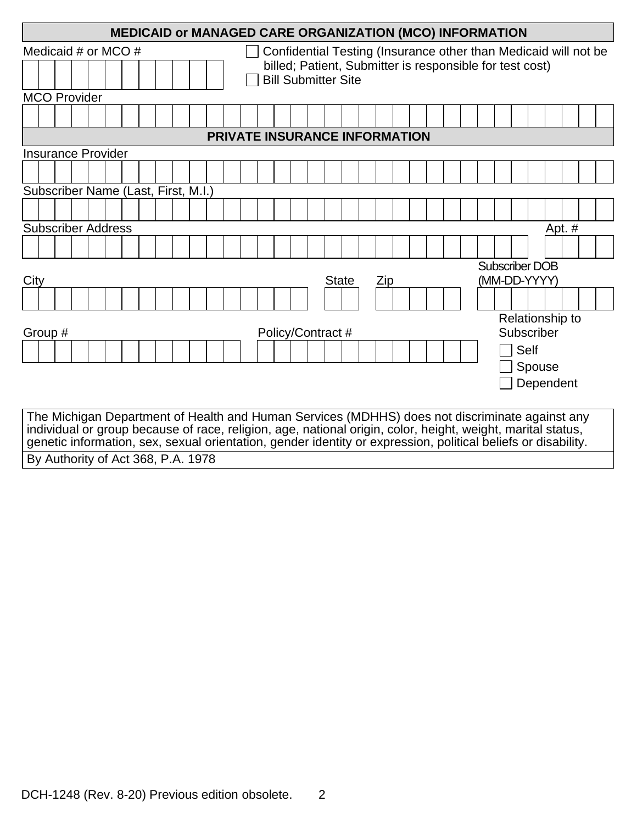| <b>MEDICAID or MANAGED CARE ORGANIZATION (MCO) INFORMATION</b>                                                                                                                                                               |                                                                 |                       |  |  |  |  |  |
|------------------------------------------------------------------------------------------------------------------------------------------------------------------------------------------------------------------------------|-----------------------------------------------------------------|-----------------------|--|--|--|--|--|
| Medicaid # or MCO #                                                                                                                                                                                                          | Confidential Testing (Insurance other than Medicaid will not be |                       |  |  |  |  |  |
| billed; Patient, Submitter is responsible for test cost)<br><b>Bill Submitter Site</b>                                                                                                                                       |                                                                 |                       |  |  |  |  |  |
| <b>MCO Provider</b>                                                                                                                                                                                                          |                                                                 |                       |  |  |  |  |  |
|                                                                                                                                                                                                                              |                                                                 |                       |  |  |  |  |  |
| <b>PRIVATE INSURANCE INFORMATION</b>                                                                                                                                                                                         |                                                                 |                       |  |  |  |  |  |
| <b>Insurance Provider</b>                                                                                                                                                                                                    |                                                                 |                       |  |  |  |  |  |
|                                                                                                                                                                                                                              |                                                                 |                       |  |  |  |  |  |
| Subscriber Name (Last, First, M.I.)                                                                                                                                                                                          |                                                                 |                       |  |  |  |  |  |
|                                                                                                                                                                                                                              |                                                                 |                       |  |  |  |  |  |
| <b>Subscriber Address</b>                                                                                                                                                                                                    |                                                                 | Apt. $#$              |  |  |  |  |  |
|                                                                                                                                                                                                                              |                                                                 |                       |  |  |  |  |  |
|                                                                                                                                                                                                                              |                                                                 | <b>Subscriber DOB</b> |  |  |  |  |  |
| City                                                                                                                                                                                                                         | <b>State</b><br>Zip                                             |                       |  |  |  |  |  |
|                                                                                                                                                                                                                              |                                                                 |                       |  |  |  |  |  |
| Relationship to                                                                                                                                                                                                              |                                                                 |                       |  |  |  |  |  |
| Group #                                                                                                                                                                                                                      | Policy/Contract #                                               | Subscriber            |  |  |  |  |  |
|                                                                                                                                                                                                                              |                                                                 | <b>Self</b>           |  |  |  |  |  |
|                                                                                                                                                                                                                              |                                                                 | Spouse                |  |  |  |  |  |
|                                                                                                                                                                                                                              |                                                                 | Dependent             |  |  |  |  |  |
|                                                                                                                                                                                                                              |                                                                 |                       |  |  |  |  |  |
| The Michigan Department of Health and Human Services (MDHHS) does not discriminate against any                                                                                                                               |                                                                 |                       |  |  |  |  |  |
| individual or group because of race, religion, age, national origin, color, height, weight, marital status,<br>genetic information, sex, sexual orientation, gender identity or expression, political beliefs or disability. |                                                                 |                       |  |  |  |  |  |
| By Authority of Act 368, P.A. 1978                                                                                                                                                                                           |                                                                 |                       |  |  |  |  |  |